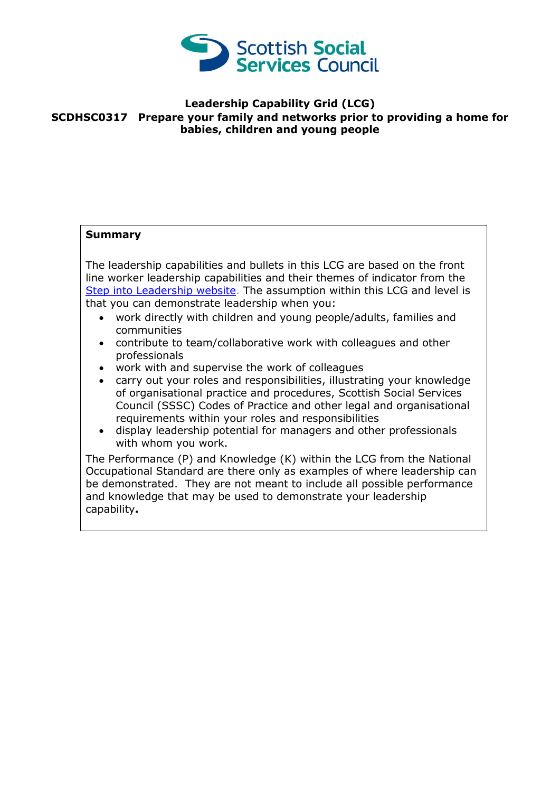

## **Leadership Capability Grid (LCG) SCDHSC0317 Prepare your family and networks prior to providing a home for babies, children and young people**

## **Summary**

The leadership capabilities and bullets in this LCG are based on the front line worker leadership capabilities and their themes of indicator from the [Step into Leadership website.](http://www.stepintoleadership.info/) The assumption within this LCG and level is that you can demonstrate leadership when you:

- work directly with children and young people/adults, families and communities
- contribute to team/collaborative work with colleagues and other professionals
- work with and supervise the work of colleagues
- carry out your roles and responsibilities, illustrating your knowledge of organisational practice and procedures, Scottish Social Services Council (SSSC) Codes of Practice and other legal and organisational requirements within your roles and responsibilities
- display leadership potential for managers and other professionals with whom you work.

The Performance (P) and Knowledge (K) within the LCG from the National Occupational Standard are there only as examples of where leadership can be demonstrated. They are not meant to include all possible performance and knowledge that may be used to demonstrate your leadership capability**.**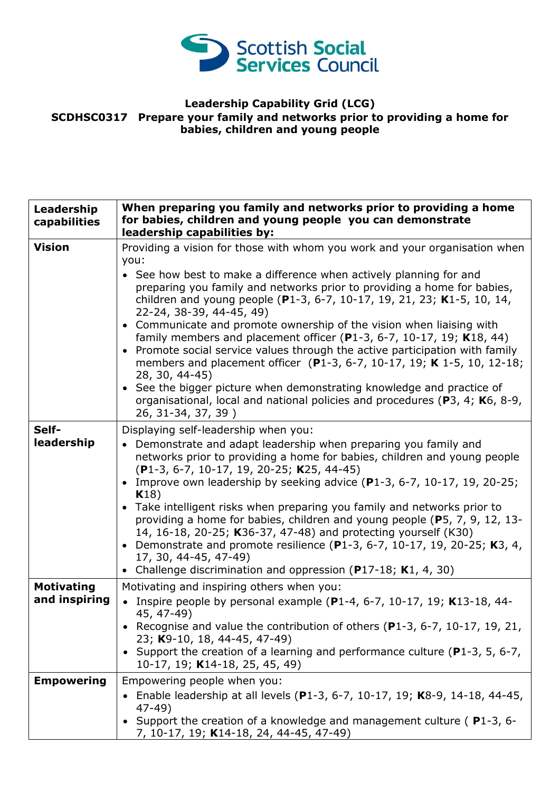

## **Leadership Capability Grid (LCG) SCDHSC0317 Prepare your family and networks prior to providing a home for babies, children and young people**

| Leadership<br>capabilities         | When preparing you family and networks prior to providing a home<br>for babies, children and young people you can demonstrate<br>leadership capabilities by:                                                                                                                                                                                                                                                                                                                                                                                                                                                                                                                                                                                                                                                                                        |
|------------------------------------|-----------------------------------------------------------------------------------------------------------------------------------------------------------------------------------------------------------------------------------------------------------------------------------------------------------------------------------------------------------------------------------------------------------------------------------------------------------------------------------------------------------------------------------------------------------------------------------------------------------------------------------------------------------------------------------------------------------------------------------------------------------------------------------------------------------------------------------------------------|
| <b>Vision</b>                      | Providing a vision for those with whom you work and your organisation when<br>you:<br>• See how best to make a difference when actively planning for and<br>preparing you family and networks prior to providing a home for babies,<br>children and young people (P1-3, 6-7, 10-17, 19, 21, 23; K1-5, 10, 14,<br>22-24, 38-39, 44-45, 49)<br>• Communicate and promote ownership of the vision when liaising with<br>family members and placement officer (P1-3, 6-7, 10-17, 19; K18, 44)<br>• Promote social service values through the active participation with family<br>members and placement officer (P1-3, 6-7, 10-17, 19; K 1-5, 10, 12-18;<br>28, 30, 44-45)<br>• See the bigger picture when demonstrating knowledge and practice of<br>organisational, local and national policies and procedures (P3, 4; K6, 8-9,<br>26, 31-34, 37, 39) |
| Self-<br>leadership                | Displaying self-leadership when you:<br>• Demonstrate and adapt leadership when preparing you family and<br>networks prior to providing a home for babies, children and young people<br>(P1-3, 6-7, 10-17, 19, 20-25; K25, 44-45)<br>• Improve own leadership by seeking advice $(P1-3, 6-7, 10-17, 19, 20-25;$<br>K18)<br>• Take intelligent risks when preparing you family and networks prior to<br>providing a home for babies, children and young people (P5, 7, 9, 12, 13-<br>14, 16-18, 20-25; K36-37, 47-48) and protecting yourself (K30)<br>• Demonstrate and promote resilience (P1-3, 6-7, 10-17, 19, 20-25; K3, 4,<br>17, 30, 44-45, 47-49)<br>• Challenge discrimination and oppression (P17-18; K1, 4, 30)                                                                                                                           |
| <b>Motivating</b><br>and inspiring | Motivating and inspiring others when you:<br>Inspire people by personal example (P1-4, 6-7, 10-17, 19; K13-18, 44-<br>45, 47-49)<br>• Recognise and value the contribution of others ( $P1-3$ , $6-7$ , $10-17$ , $19$ , $21$ ,<br>23; K9-10, 18, 44-45, 47-49)<br>• Support the creation of a learning and performance culture ( $P1-3$ , 5, 6-7,<br>10-17, 19; K14-18, 25, 45, 49)                                                                                                                                                                                                                                                                                                                                                                                                                                                                |
| <b>Empowering</b>                  | Empowering people when you:<br>Enable leadership at all levels (P1-3, 6-7, 10-17, 19; K8-9, 14-18, 44-45,<br>$47 - 49$<br>• Support the creation of a knowledge and management culture (P1-3, 6-<br>7, 10-17, 19; K14-18, 24, 44-45, 47-49)                                                                                                                                                                                                                                                                                                                                                                                                                                                                                                                                                                                                         |